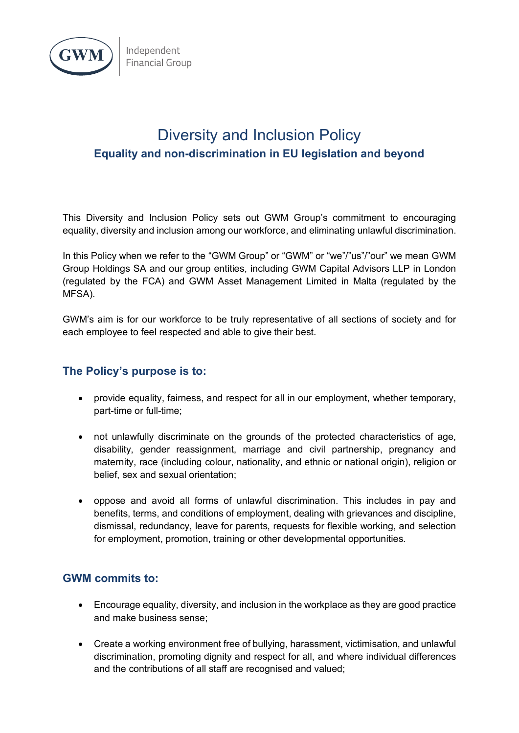

## Diversity and Inclusion Policy **Equality and non-discrimination in EU legislation and beyond**

This Diversity and Inclusion Policy sets out GWM Group's commitment to encouraging equality, diversity and inclusion among our workforce, and eliminating unlawful discrimination.

In this Policy when we refer to the "GWM Group" or "GWM" or "we"/"us"/"our" we mean GWM Group Holdings SA and our group entities, including GWM Capital Advisors LLP in London (regulated by the FCA) and GWM Asset Management Limited in Malta (regulated by the MFSA).

GWM's aim is for our workforce to be truly representative of all sections of society and for each employee to feel respected and able to give their best.

## **The Policy's purpose is to:**

- provide equality, fairness, and respect for all in our employment, whether temporary, part-time or full-time;
- not unlawfully discriminate on the grounds of the protected characteristics of age, disability, gender reassignment, marriage and civil partnership, pregnancy and maternity, race (including colour, nationality, and ethnic or national origin), religion or belief, sex and sexual orientation;
- oppose and avoid all forms of unlawful discrimination. This includes in pay and benefits, terms, and conditions of employment, dealing with grievances and discipline, dismissal, redundancy, leave for parents, requests for flexible working, and selection for employment, promotion, training or other developmental opportunities.

## **GWM commits to:**

- Encourage equality, diversity, and inclusion in the workplace as they are good practice and make business sense;
- Create a working environment free of bullying, harassment, victimisation, and unlawful discrimination, promoting dignity and respect for all, and where individual differences and the contributions of all staff are recognised and valued;